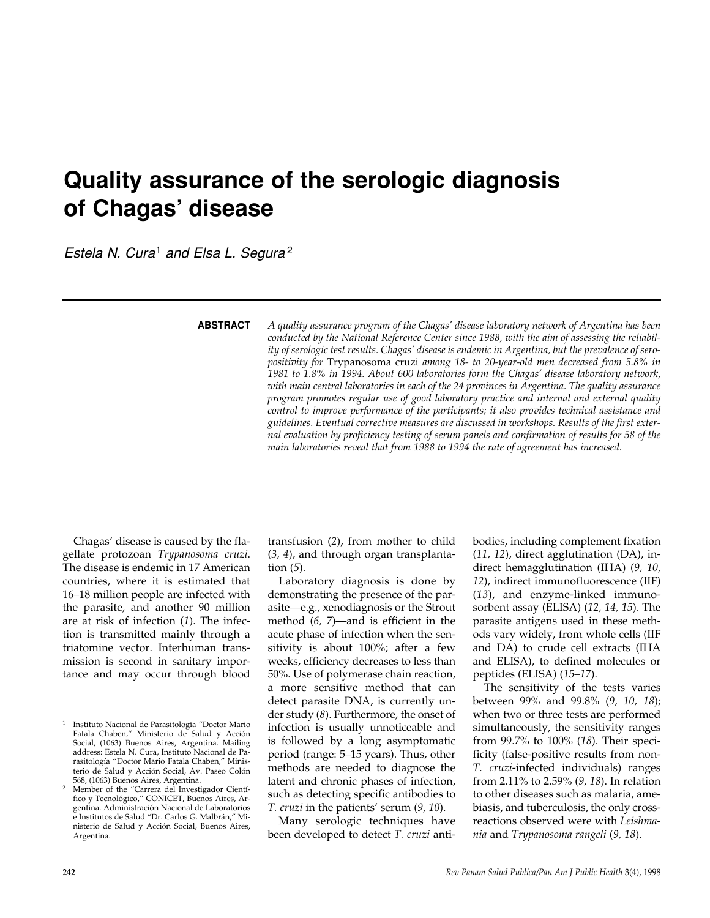# **Quality assurance of the serologic diagnosis of Chagas' disease**

*Estela N. Cura*<sup>1</sup> *and Elsa L. Segura* <sup>2</sup>

**ABSTRACT**

*A quality assurance program of the Chagas' disease laboratory network of Argentina has been conducted by the National Reference Center since 1988, with the aim of assessing the reliability of serologic test results. Chagas' disease is endemic in Argentina, but the prevalence of seropositivity for* Trypanosoma cruzi *among 18- to 20-year-old men decreased from 5.8% in 1981 to 1.8% in 1994. About 600 laboratories form the Chagas' disease laboratory network, with main central laboratories in each of the 24 provinces in Argentina. The quality assurance program promotes regular use of good laboratory practice and internal and external quality control to improve performance of the participants; it also provides technical assistance and guidelines. Eventual corrective measures are discussed in workshops. Results of the first external evaluation by proficiency testing of serum panels and confirmation of results for 58 of the main laboratories reveal that from 1988 to 1994 the rate of agreement has increased.*

Chagas' disease is caused by the flagellate protozoan *Trypanosoma cruzi*. The disease is endemic in 17 American countries, where it is estimated that 16–18 million people are infected with the parasite, and another 90 million are at risk of infection (*1*). The infection is transmitted mainly through a triatomine vector. Interhuman transmission is second in sanitary importance and may occur through blood

transfusion (*2*), from mother to child (*3, 4*), and through organ transplantation (*5*).

Laboratory diagnosis is done by demonstrating the presence of the parasite—e.g., xenodiagnosis or the Strout method (*6, 7*)—and is efficient in the acute phase of infection when the sensitivity is about 100%; after a few weeks, efficiency decreases to less than 50%. Use of polymerase chain reaction, a more sensitive method that can detect parasite DNA, is currently under study (*8*). Furthermore, the onset of infection is usually unnoticeable and is followed by a long asymptomatic period (range: 5–15 years). Thus, other methods are needed to diagnose the latent and chronic phases of infection, such as detecting specific antibodies to *T. cruzi* in the patients' serum (*9, 10*).

Many serologic techniques have been developed to detect *T. cruzi* antibodies, including complement fixation (*11, 12*), direct agglutination (DA), indirect hemagglutination (IHA) (*9, 10, 12*), indirect immunofluorescence (IIF) (*13*), and enzyme-linked immunosorbent assay (ELISA) (*12, 14, 15*). The parasite antigens used in these methods vary widely, from whole cells (IIF and DA) to crude cell extracts (IHA and ELISA), to defined molecules or peptides (ELISA) (*15–17*).

The sensitivity of the tests varies between 99% and 99.8% (*9, 10, 18*); when two or three tests are performed simultaneously, the sensitivity ranges from 99.7% to 100% (*18*). Their specificity (false-positive results from non-*T. cruzi*-infected individuals) ranges from 2.11% to 2.59% (*9, 18*). In relation to other diseases such as malaria, amebiasis, and tuberculosis, the only crossreactions observed were with *Leishmania* and *Trypanosoma rangeli* (*9, 18*).

<sup>1</sup> Instituto Nacional de Parasitología "Doctor Mario Fatala Chaben," Ministerio de Salud y Acción Social, (1063) Buenos Aires, Argentina. Mailing address: Estela N. Cura, Instituto Nacional de Parasitología "Doctor Mario Fatala Chaben," Ministerio de Salud y Acción Social, Av. Paseo Colón

<sup>568, (1063)</sup> Buenos Aires, Argentina. <sup>2</sup> Member of the "Carrera del Investigador Científico y Tecnológico," CONICET, Buenos Aires, Argentina. Administración Nacional de Laboratorios e Institutos de Salud "Dr. Carlos G. Malbrán," Ministerio de Salud y Acción Social, Buenos Aires, Argentina.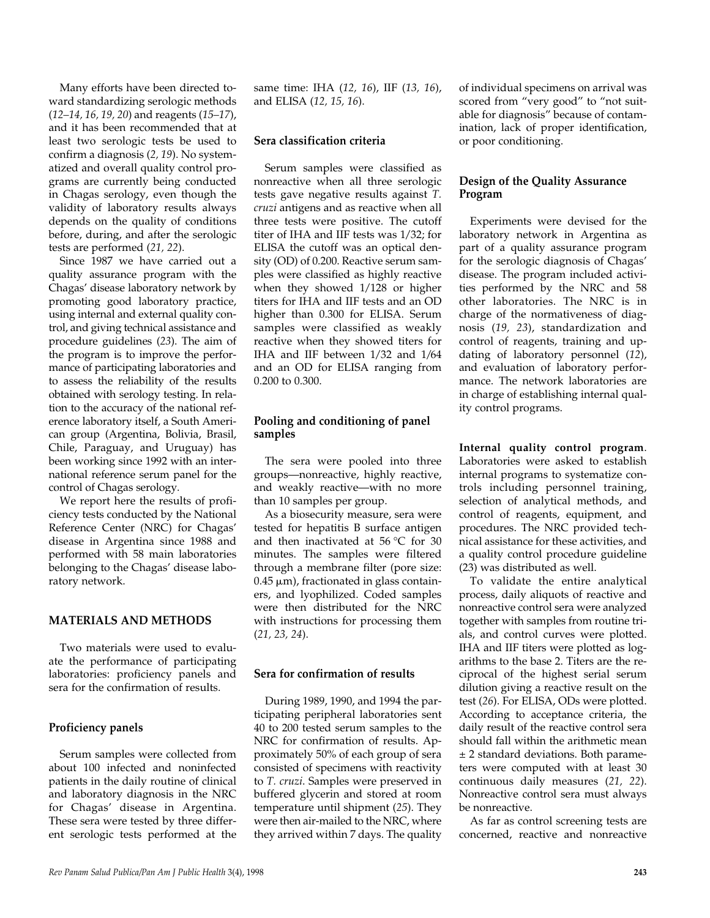Many efforts have been directed toward standardizing serologic methods (*12–14, 16, 19, 20*) and reagents (*15–17*), and it has been recommended that at least two serologic tests be used to confirm a diagnosis (*2, 19*). No systematized and overall quality control programs are currently being conducted in Chagas serology, even though the validity of laboratory results always depends on the quality of conditions before, during, and after the serologic tests are performed (*21, 22*).

Since 1987 we have carried out a quality assurance program with the Chagas' disease laboratory network by promoting good laboratory practice, using internal and external quality control, and giving technical assistance and procedure guidelines (*23*). The aim of the program is to improve the performance of participating laboratories and to assess the reliability of the results obtained with serology testing. In relation to the accuracy of the national reference laboratory itself, a South American group (Argentina, Bolivia, Brasil, Chile, Paraguay, and Uruguay) has been working since 1992 with an international reference serum panel for the control of Chagas serology.

We report here the results of proficiency tests conducted by the National Reference Center (NRC) for Chagas' disease in Argentina since 1988 and performed with 58 main laboratories belonging to the Chagas' disease laboratory network.

## **MATERIALS AND METHODS**

Two materials were used to evaluate the performance of participating laboratories: proficiency panels and sera for the confirmation of results.

## **Proficiency panels**

Serum samples were collected from about 100 infected and noninfected patients in the daily routine of clinical and laboratory diagnosis in the NRC for Chagas' disease in Argentina. These sera were tested by three different serologic tests performed at the

same time: IHA (*12, 16*), IIF (*13, 16*), and ELISA (*12, 15, 16*).

## **Sera classification criteria**

Serum samples were classified as nonreactive when all three serologic tests gave negative results against *T. cruzi* antigens and as reactive when all three tests were positive. The cutoff titer of IHA and IIF tests was 1/32; for ELISA the cutoff was an optical density (OD) of 0.200. Reactive serum samples were classified as highly reactive when they showed 1/128 or higher titers for IHA and IIF tests and an OD higher than 0.300 for ELISA. Serum samples were classified as weakly reactive when they showed titers for IHA and IIF between 1/32 and 1/64 and an OD for ELISA ranging from 0.200 to 0.300.

# **Pooling and conditioning of panel samples**

The sera were pooled into three groups—nonreactive, highly reactive, and weakly reactive—with no more than 10 samples per group.

As a biosecurity measure, sera were tested for hepatitis B surface antigen and then inactivated at 56 °C for 30 minutes. The samples were filtered through a membrane filter (pore size:  $0.45$   $\mu$ m), fractionated in glass containers, and lyophilized. Coded samples were then distributed for the NRC with instructions for processing them (*21, 23, 24*).

## **Sera for confirmation of results**

During 1989, 1990, and 1994 the participating peripheral laboratories sent 40 to 200 tested serum samples to the NRC for confirmation of results. Approximately 50% of each group of sera consisted of specimens with reactivity to *T. cruzi*. Samples were preserved in buffered glycerin and stored at room temperature until shipment (*25*). They were then air-mailed to the NRC, where they arrived within 7 days. The quality

of individual specimens on arrival was scored from "very good" to "not suitable for diagnosis" because of contamination, lack of proper identification, or poor conditioning.

# **Design of the Quality Assurance Program**

Experiments were devised for the laboratory network in Argentina as part of a quality assurance program for the serologic diagnosis of Chagas' disease. The program included activities performed by the NRC and 58 other laboratories. The NRC is in charge of the normativeness of diagnosis (*19, 23*), standardization and control of reagents, training and updating of laboratory personnel (*12*), and evaluation of laboratory performance. The network laboratories are in charge of establishing internal quality control programs.

**Internal quality control program**. Laboratories were asked to establish internal programs to systematize controls including personnel training, selection of analytical methods, and control of reagents, equipment, and procedures. The NRC provided technical assistance for these activities, and a quality control procedure guideline (23) was distributed as well.

To validate the entire analytical process, daily aliquots of reactive and nonreactive control sera were analyzed together with samples from routine trials, and control curves were plotted. IHA and IIF titers were plotted as logarithms to the base 2. Titers are the reciprocal of the highest serial serum dilution giving a reactive result on the test (*26*). For ELISA, ODs were plotted. According to acceptance criteria, the daily result of the reactive control sera should fall within the arithmetic mean ± 2 standard deviations. Both parameters were computed with at least 30 continuous daily measures (*21, 22*). Nonreactive control sera must always be nonreactive.

As far as control screening tests are concerned, reactive and nonreactive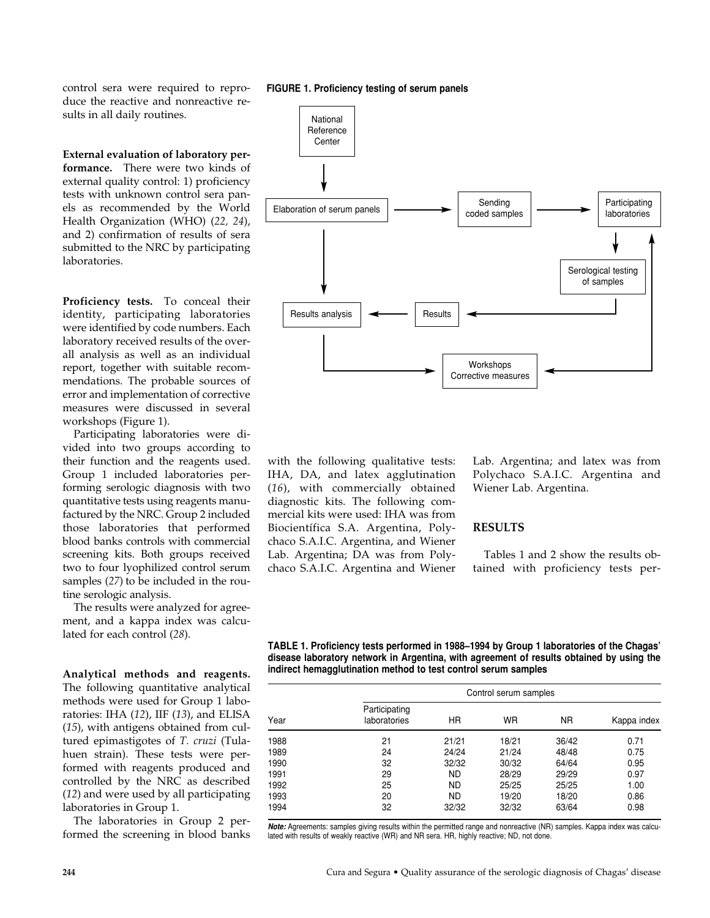control sera were required to reproduce the reactive and nonreactive results in all daily routines.

**External evaluation of laboratory performance.** There were two kinds of external quality control: 1) proficiency tests with unknown control sera panels as recommended by the World Health Organization (WHO) (*22, 24*), and 2) confirmation of results of sera submitted to the NRC by participating laboratories.

**Proficiency tests.** To conceal their identity, participating laboratories were identified by code numbers. Each laboratory received results of the overall analysis as well as an individual report, together with suitable recommendations. The probable sources of error and implementation of corrective measures were discussed in several workshops (Figure 1).

Participating laboratories were divided into two groups according to their function and the reagents used. Group 1 included laboratories performing serologic diagnosis with two quantitative tests using reagents manufactured by the NRC. Group 2 included those laboratories that performed blood banks controls with commercial screening kits. Both groups received two to four lyophilized control serum samples (*27*) to be included in the routine serologic analysis.

The results were analyzed for agreement, and a kappa index was calculated for each control (*28*).

**Analytical methods and reagents.** The following quantitative analytical methods were used for Group 1 laboratories: IHA (*12*), IIF (*13*), and ELISA (*15*), with antigens obtained from cultured epimastigotes of *T. cruzi* (Tulahuen strain). These tests were performed with reagents produced and controlled by the NRC as described (*12*) and were used by all participating laboratories in Group 1.

The laboratories in Group 2 performed the screening in blood banks

#### **FIGURE 1. Proficiency testing of serum panels**



with the following qualitative tests: IHA, DA, and latex agglutination (*16*), with commercially obtained diagnostic kits. The following commercial kits were used: IHA was from Biocientífica S.A. Argentina, Polychaco S.A.I.C. Argentina, and Wiener Lab. Argentina; DA was from Polychaco S.A.I.C. Argentina and Wiener Lab. Argentina; and latex was from Polychaco S.A.I.C. Argentina and Wiener Lab. Argentina.

## **RESULTS**

Tables 1 and 2 show the results obtained with proficiency tests per-

| TABLE 1. Proficiency tests performed in 1988–1994 by Group 1 laboratories of the Chagas' |
|------------------------------------------------------------------------------------------|
| disease laboratory network in Argentina, with agreement of results obtained by using the |
| indirect hemagglutination method to test control serum samples                           |

| Year | Control serum samples         |           |           |           |             |  |
|------|-------------------------------|-----------|-----------|-----------|-------------|--|
|      | Participating<br>laboratories | <b>HR</b> | <b>WR</b> | <b>NR</b> | Kappa index |  |
| 1988 | 21                            | 21/21     | 18/21     | 36/42     | 0.71        |  |
| 1989 | 24                            | 24/24     | 21/24     | 48/48     | 0.75        |  |
| 1990 | 32                            | 32/32     | 30/32     | 64/64     | 0.95        |  |
| 1991 | 29                            | <b>ND</b> | 28/29     | 29/29     | 0.97        |  |
| 1992 | 25                            | <b>ND</b> | 25/25     | 25/25     | 1.00        |  |
| 1993 | 20                            | <b>ND</b> | 19/20     | 18/20     | 0.86        |  |
| 1994 | 32                            | 32/32     | 32/32     | 63/64     | 0.98        |  |

*Note:* Agreements: samples giving results within the permitted range and nonreactive (NR) samples. Kappa index was calculated with results of weakly reactive (WR) and NR sera. HR, highly reactive; ND, not done.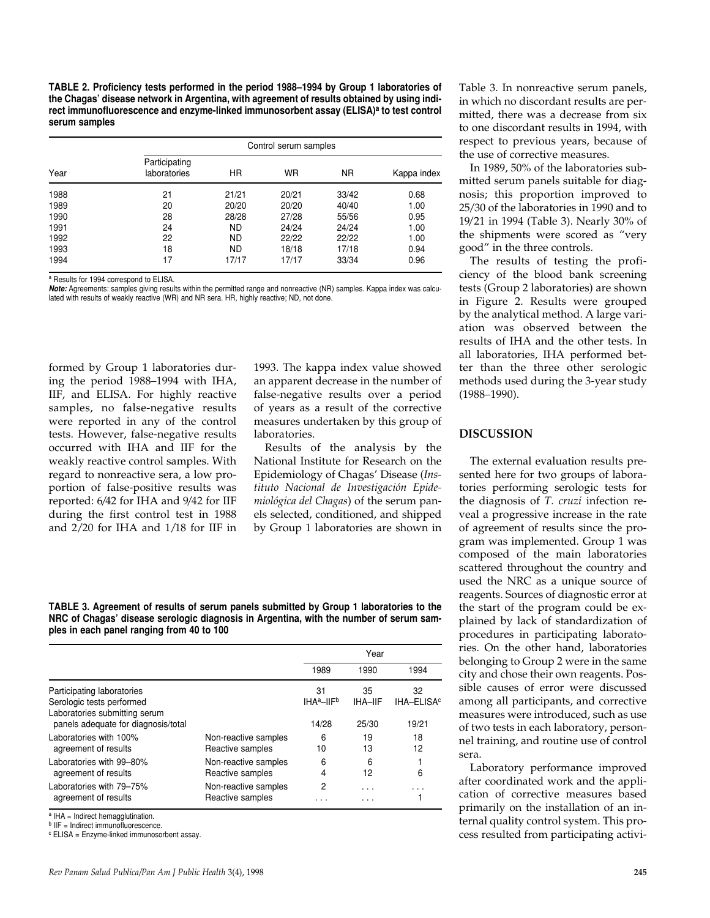**TABLE 2. Proficiency tests performed in the period 1988–1994 by Group 1 laboratories of the Chagas' disease network in Argentina, with agreement of results obtained by using indi**rect immunofluorescence and enzyme-linked immunosorbent assay (ELISA)<sup>a</sup> to test control **serum samples**

| Year | Control serum samples         |           |       |           |             |  |
|------|-------------------------------|-----------|-------|-----------|-------------|--|
|      | Participating<br>laboratories | HR        | WR    | <b>NR</b> | Kappa index |  |
| 1988 | 21                            | 21/21     | 20/21 | 33/42     | 0.68        |  |
| 1989 | 20                            | 20/20     | 20/20 | 40/40     | 1.00        |  |
| 1990 | 28                            | 28/28     | 27/28 | 55/56     | 0.95        |  |
| 1991 | 24                            | <b>ND</b> | 24/24 | 24/24     | 1.00        |  |
| 1992 | 22                            | <b>ND</b> | 22/22 | 22/22     | 1.00        |  |
| 1993 | 18                            | <b>ND</b> | 18/18 | 17/18     | 0.94        |  |
| 1994 | 17                            | 17/17     | 17/17 | 33/34     | 0.96        |  |

<sup>a</sup> Results for 1994 correspond to ELISA.

*Note:* Agreements: samples giving results within the permitted range and nonreactive (NR) samples. Kappa index was calculated with results of weakly reactive (WR) and NR sera. HR, highly reactive; ND, not done.

formed by Group 1 laboratories during the period 1988–1994 with IHA, IIF, and ELISA. For highly reactive samples, no false-negative results were reported in any of the control tests. However, false-negative results occurred with IHA and IIF for the weakly reactive control samples. With regard to nonreactive sera, a low proportion of false-positive results was reported: 6/42 for IHA and 9/42 for IIF during the first control test in 1988 and 2/20 for IHA and 1/18 for IIF in

1993. The kappa index value showed an apparent decrease in the number of false-negative results over a period of years as a result of the corrective measures undertaken by this group of laboratories.

Results of the analysis by the National Institute for Research on the Epidemiology of Chagas' Disease (*Instituto Nacional de Investigación Epidemiológica del Chagas*) of the serum panels selected, conditioned, and shipped by Group 1 laboratories are shown in

**TABLE 3. Agreement of results of serum panels submitted by Group 1 laboratories to the NRC of Chagas' disease serologic diagnosis in Argentina, with the number of serum samples in each panel ranging from 40 to 100**

|                                                                                                   |                                          | Year                                        |                  |                                       |  |
|---------------------------------------------------------------------------------------------------|------------------------------------------|---------------------------------------------|------------------|---------------------------------------|--|
|                                                                                                   |                                          | 1989                                        | 1990             | 1994                                  |  |
| Participating laboratories                                                                        |                                          | 31                                          | 35               | 32                                    |  |
| Serologic tests performed<br>Laboratories submitting serum<br>panels adequate for diagnosis/total |                                          | IHA <sup>a</sup> -IIF <sup>b</sup><br>14/28 | IHA-IIF<br>25/30 | <b>IHA-ELISA<sup>c</sup></b><br>19/21 |  |
| Laboratories with 100%<br>agreement of results                                                    | Non-reactive samples<br>Reactive samples | 6<br>10                                     | 19<br>13         | 18<br>12                              |  |
| Laboratories with 99-80%<br>agreement of results                                                  | Non-reactive samples<br>Reactive samples | 6<br>4                                      | 6<br>12          | 6                                     |  |
| Laboratories with 79-75%<br>agreement of results                                                  | Non-reactive samples<br>Reactive samples | 2<br>.                                      | .<br>.           |                                       |  |

a IHA = Indirect hemagglutination.

b IIF = Indirect immunofluorescence

<sup>c</sup> ELISA = Enzyme-linked immunosorbent assay.

Table 3. In nonreactive serum panels, in which no discordant results are permitted, there was a decrease from six to one discordant results in 1994, with respect to previous years, because of the use of corrective measures.

In 1989, 50% of the laboratories submitted serum panels suitable for diagnosis; this proportion improved to 25/30 of the laboratories in 1990 and to 19/21 in 1994 (Table 3). Nearly 30% of the shipments were scored as "very good" in the three controls.

The results of testing the proficiency of the blood bank screening tests (Group 2 laboratories) are shown in Figure 2. Results were grouped by the analytical method. A large variation was observed between the results of IHA and the other tests. In all laboratories, IHA performed better than the three other serologic methods used during the 3-year study (1988–1990).

#### **DISCUSSION**

The external evaluation results presented here for two groups of laboratories performing serologic tests for the diagnosis of *T. cruzi* infection reveal a progressive increase in the rate of agreement of results since the program was implemented. Group 1 was composed of the main laboratories scattered throughout the country and used the NRC as a unique source of reagents. Sources of diagnostic error at the start of the program could be explained by lack of standardization of procedures in participating laboratories. On the other hand, laboratories belonging to Group 2 were in the same city and chose their own reagents. Possible causes of error were discussed among all participants, and corrective measures were introduced, such as use of two tests in each laboratory, personnel training, and routine use of control sera.

Laboratory performance improved after coordinated work and the application of corrective measures based primarily on the installation of an internal quality control system. This process resulted from participating activi-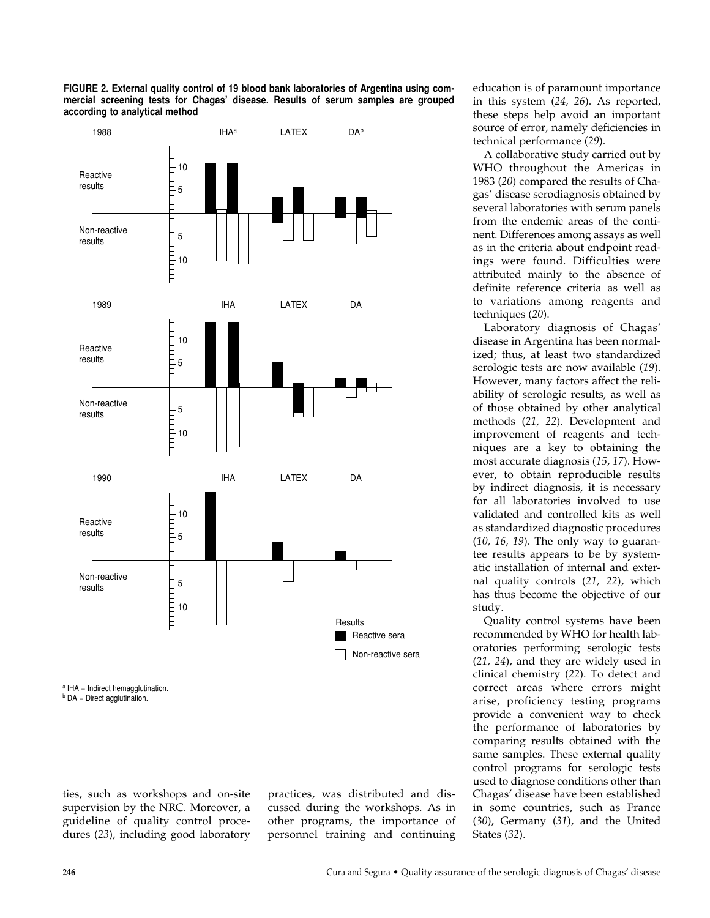

**FIGURE 2. External quality control of 19 blood bank laboratories of Argentina using com-**

ties, such as workshops and on-site supervision by the NRC. Moreover, a guideline of quality control procedures (*23*), including good laboratory

practices, was distributed and discussed during the workshops. As in other programs, the importance of personnel training and continuing education is of paramount importance in this system (*24, 26*). As reported, these steps help avoid an important source of error, namely deficiencies in technical performance (*29*).

A collaborative study carried out by WHO throughout the Americas in 1983 (*20*) compared the results of Chagas' disease serodiagnosis obtained by several laboratories with serum panels from the endemic areas of the continent. Differences among assays as well as in the criteria about endpoint readings were found. Difficulties were attributed mainly to the absence of definite reference criteria as well as to variations among reagents and techniques (*20*).

Laboratory diagnosis of Chagas' disease in Argentina has been normalized; thus, at least two standardized serologic tests are now available (*19*). However, many factors affect the reliability of serologic results, as well as of those obtained by other analytical methods (*21, 22*). Development and improvement of reagents and techniques are a key to obtaining the most accurate diagnosis (*15, 17*). However, to obtain reproducible results by indirect diagnosis, it is necessary for all laboratories involved to use validated and controlled kits as well as standardized diagnostic procedures (*10, 16, 19*). The only way to guarantee results appears to be by systematic installation of internal and external quality controls (*21, 22*), which has thus become the objective of our study.

Quality control systems have been recommended by WHO for health laboratories performing serologic tests (*21, 24*), and they are widely used in clinical chemistry (*22*). To detect and correct areas where errors might arise, proficiency testing programs provide a convenient way to check the performance of laboratories by comparing results obtained with the same samples. These external quality control programs for serologic tests used to diagnose conditions other than Chagas' disease have been established in some countries, such as France (*30*), Germany (*31*), and the United States (*32*).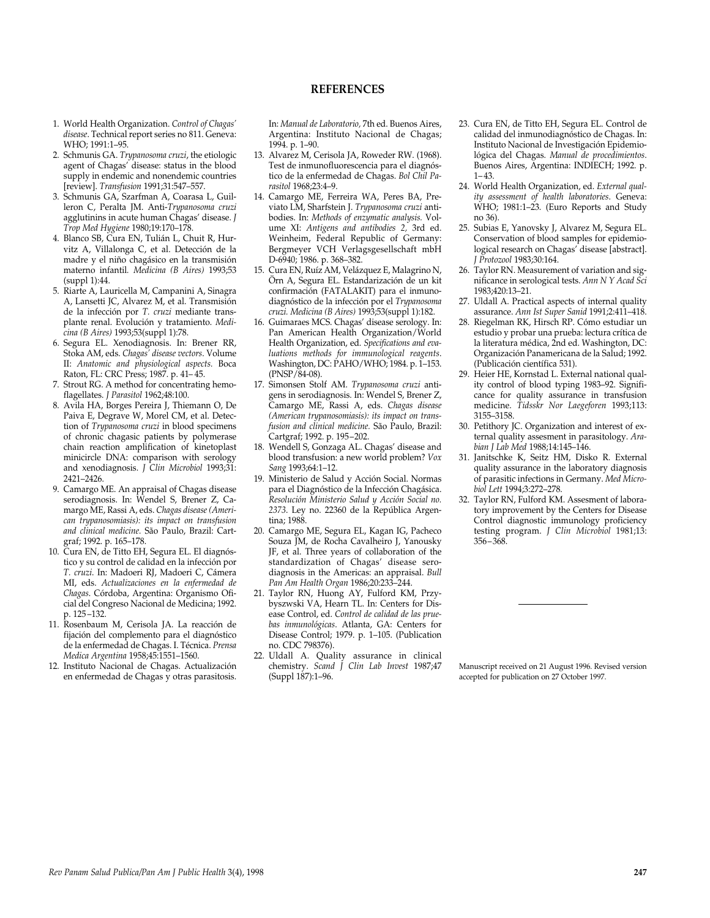## **REFERENCES**

- 1. World Health Organization. *Control of Chagas' disease*. Technical report series no 811. Geneva: WHO; 1991:1–95.
- 2. Schmunis GA. *Trypanosoma cruzi*, the etiologic agent of Chagas' disease: status in the blood supply in endemic and nonendemic countries [review]. *Transfusion* 1991;31:547–557.
- 3. Schmunis GA, Szarfman A, Coarasa L, Guilleron C, Peralta JM. Anti-*Trypanosoma cruzi* agglutinins in acute human Chagas' disease. *J Trop Med Hygiene* 1980;19:170–178.
- 4. Blanco SB, Cura EN, Tulián L, Chuit R, Hurvitz A, Villalonga C, et al. Detección de la madre y el niño chagásico en la transmisión materno infantil*. Medicina (B Aires)* 1993;53 (suppl 1):44.
- 5. Riarte A, Lauricella M, Campanini A, Sinagra A, Lansetti JC, Alvarez M, et al. Transmisión de la infección por *T. cruzi* mediante transplante renal. Evolución y tratamiento. *Medicina (B Aires)* 1993;53(suppl 1):78.
- 6. Segura EL. Xenodiagnosis. In: Brener RR, Stoka AM, eds. *Chagas' disease vectors*. Volume II: *Anatomic and physiological aspects.* Boca Raton, FL: CRC Press; 1987. p. 41– 45.
- 7. Strout RG. A method for concentrating hemoflagellates. *J Parasitol* 1962;48:100.
- 8. Avila HA, Borges Pereira J, Thiemann O, De Paiva E, Degrave W, Morel CM, et al. Detection of *Trypanosoma cruzi* in blood specimens of chronic chagasic patients by polymerase chain reaction amplification of kinetoplast minicircle DNA: comparison with serology and xenodiagnosis. *J Clin Microbiol* 1993;31: 2421–2426.
- 9. Camargo ME. An appraisal of Chagas disease serodiagnosis. In: Wendel S, Brener Z, Camargo ME, Rassi A, eds. *Chagas disease (American trypanosomiasis): its impact on transfusion and clinical medicine.* São Paulo, Brazil: Cartgraf; 1992. p. 165–178.
- 10. Cura EN, de Titto EH, Segura EL. El diagnóstico y su control de calidad en la infección por *T. cruzi*. In: Madoeri RJ, Madoeri C, Cámera MI, eds. *Actualizaciones en la enfermedad de Chagas*. Córdoba, Argentina: Organismo Oficial del Congreso Nacional de Medicina; 1992. p. 125 –132.
- 11. Rosenbaum M, Cerisola JA. La reacción de fijación del complemento para el diagnóstico de la enfermedad de Chagas. I. Técnica. *Prensa Medica Argentina* 1958;45:1551–1560.
- 12. Instituto Nacional de Chagas. Actualización en enfermedad de Chagas y otras parasitosis.

In: *Manual de Laboratorio,* 7th ed. Buenos Aires, Argentina: Instituto Nacional de Chagas; 1994. p. 1–90.

- 13. Alvarez M, Cerisola JA, Roweder RW. (1968). Test de inmunofluorescencia para el diagnóstico de la enfermedad de Chagas. *Bol Chil Parasitol* 1968;23:4–9.
- 14. Camargo ME, Ferreira WA, Peres BA, Previato LM, Sharfstein J. *Trypanosoma cruzi* antibodies. In: *Methods of enzymatic analysis.* Volume XI: *Antigens and antibodies 2,* 3rd ed. Weinheim, Federal Republic of Germany: Bergmeyer VCH Verlagsgesellschaft mbH D-6940; 1986. p. 368–382.
- 15. Cura EN, Ruíz AM, Velázquez E, Malagrino N, Örn A, Segura EL. Estandarización de un kit confirmación (FATALAKIT) para el inmunodiagnóstico de la infección por el *Trypanosoma cruzi. Medicina (B Aires)* 1993;53(suppl 1):182.
- 16. Guimaraes MCS. Chagas' disease serology. In: Pan American Health Organization/World Health Organization, ed. *Specifications and evaluations methods for immunological reagents*. Washington, DC: PAHO/WHO; 1984. p. 1-153. (PNSP/84-08).
- 17. Simonsen Stolf AM. *Trypanosoma cruzi* antigens in serodiagnosis. In: Wendel S, Brener Z, Camargo ME, Rassi A, eds. *Chagas disease (American trypanosomiasis): its impact on transfusion and clinical medicine.* São Paulo, Brazil: Cartgraf; 1992. p. 195–202.
- 18. Wendell S, Gonzaga AL. Chagas' disease and blood transfusion: a new world problem? *Vox Sang* 1993;64:1–12.
- 19. Ministerio de Salud y Acción Social. Normas para el Diagnóstico de la Infección Chagásica. *Resolución Ministerio Salud y Acción Social no. 2373*. Ley no. 22360 de la República Argentina; 1988.
- 20. Camargo ME, Segura EL, Kagan IG, Pacheco Souza JM, de Rocha Cavalheiro J, Yanousky JF, et al. Three years of collaboration of the standardization of Chagas' disease serodiagnosis in the Americas: an appraisal. *Bull Pan Am Health Organ* 1986;20:233–244.
- 21. Taylor RN, Huong AY, Fulford KM, Przybyszwski VA, Hearn TL. In: Centers for Disease Control, ed. *Control de calidad de las pruebas inmunológicas*. Atlanta, GA: Centers for Disease Control; 1979. p. 1–105. (Publication no. CDC 798376).
- 22. Uldall A. Quality assurance in clinical chemistry. *Scand J Clin Lab Invest* 1987;47 (Suppl 187):1–96.
- 23. Cura EN, de Titto EH, Segura EL. Control de calidad del inmunodiagnóstico de Chagas. In: Instituto Nacional de Investigación Epidemiológica del Chagas. *Manual de procedimientos*. Buenos Aires, Argentina: INDIECH; 1992. p.  $1 - 43.$
- 24. World Health Organization, ed. *External quality assessment of health laboratories*. Geneva: WHO; 1981:1–23. (Euro Reports and Study no 36).
- 25. Subias E, Yanovsky J, Alvarez M, Segura EL. Conservation of blood samples for epidemiological research on Chagas' disease [abstract]. *J Protozool* 1983;30:164.
- 26. Taylor RN. Measurement of variation and significance in serological tests. *Ann N Y Acad Sci* 1983;420:13–21.
- 27. Uldall A. Practical aspects of internal quality assurance. *Ann Ist Super Sanid* 1991;2:411–418.
- 28. Riegelman RK, Hirsch RP. Cómo estudiar un estudio y probar una prueba: lectura crítica de la literatura médica, 2nd ed. Washington, DC: Organización Panamericana de la Salud; 1992. (Publicación científica 531).
- 29. Heier HE, Kornstad L. External national quality control of blood typing 1983–92. Significance for quality assurance in transfusion medicine. *Tidsskr Nor Laegeforen* 1993;113: 3155–3158.
- 30. Petithory JC. Organization and interest of external quality assesment in parasitology. *Arabian J Lab Med* 1988;14:145–146.
- 31. Janitschke K, Seitz HM, Disko R. External quality assurance in the laboratory diagnosis of parasitic infections in Germany. *Med Microbiol Lett* 1994;3:272–278.
- 32. Taylor RN, Fulford KM. Assesment of laboratory improvement by the Centers for Disease Control diagnostic immunology proficiency testing program. *J Clin Microbiol* 1981;13: 356–368.

Manuscript received on 21 August 1996. Revised version accepted for publication on 27 October 1997.